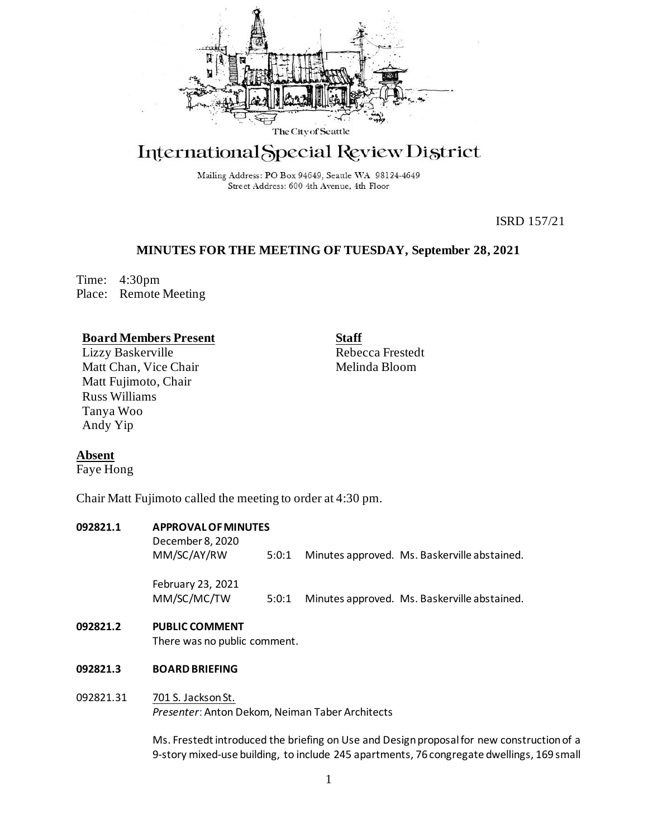

# International Special Review District

Mailing Address: PO Box 94649, Seattle WA 98124-4649 Street Address: 600 4th Avenue, 4th Floor

ISRD 157/21

# **MINUTES FOR THE MEETING OF TUESDAY, September 28, 2021**

Time: 4:30pm Place: Remote Meeting

## **Board Members Present**

Lizzy Baskerville Matt Chan, Vice Chair Matt Fujimoto, Chair Russ Williams Tanya Woo Andy Yip

**Staff** Rebecca Frestedt Melinda Bloom

# **Absent**

Faye Hong

Chair Matt Fujimoto called the meeting to order at 4:30 pm.

#### **092821.1 APPROVAL OF MINUTES**

December 8, 2020 MM/SC/AY/RW 5:0:1 Minutes approved. Ms. Baskerville abstained. February 23, 2021 MM/SC/MC/TW 5:0:1 Minutes approved. Ms. Baskerville abstained.

## **092821.2 PUBLIC COMMENT**

There was no public comment.

## **092821.3 BOARD BRIEFING**

## 092821.31 701 S. Jackson St.

*Presenter*: Anton Dekom, Neiman Taber Architects

Ms. Frestedt introduced the briefing on Use and Design proposal for new construction of a 9-story mixed-use building, to include 245 apartments, 76 congregate dwellings, 169 small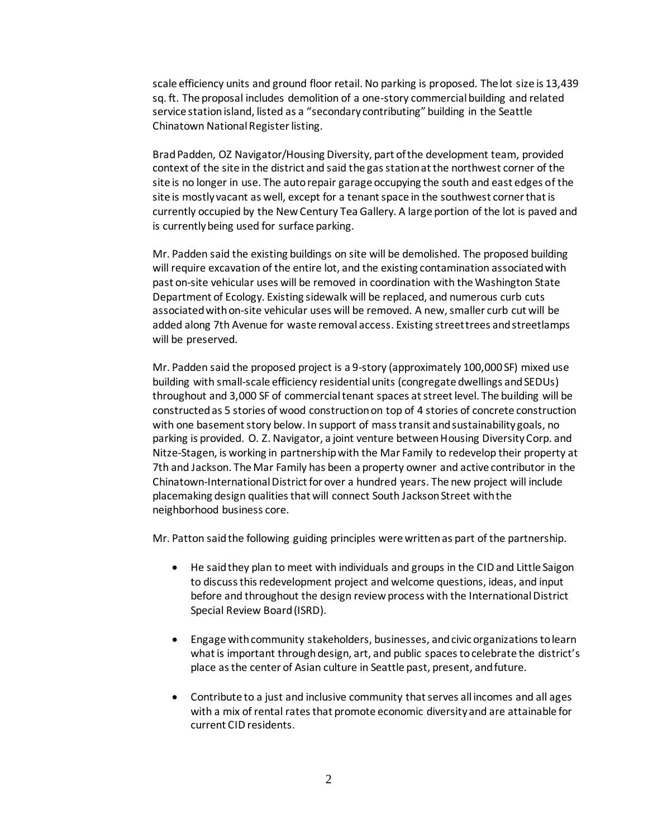scale efficiency units and ground floor retail. No parking is proposed. The lot size is 13,439 sq. ft. The proposal includes demolition of a one-story commercial building and related service station island, listed as a "secondary contributing" building in the Seattle Chinatown National Register listing.

Brad Padden, OZ Navigator/Housing Diversity, part of the development team, provided context of the site in the district and said the gas station at the northwest corner of the site is no longer in use. The auto repair garage occupying the south and east edges of the site is mostly vacant as well, except for a tenant space in the southwest corner that is currently occupied by the New Century Tea Gallery. A large portion of the lot is paved and is currently being used for surface parking.

Mr. Padden said the existing buildings on site will be demolished. The proposed building will require excavation of the entire lot, and the existing contamination associated with past on-site vehicular uses will be removed in coordination with the Washington State Department of Ecology. Existing sidewalk will be replaced, and numerous curb cuts associated with on-site vehicular uses will be removed. A new, smaller curb cut will be added along 7th Avenue for waste removal access. Existing street trees and streetlamps will be preserved.

Mr. Padden said the proposed project is a 9-story (approximately 100,000 SF) mixed use building with small-scale efficiency residential units (congregate dwellings and SEDUs) throughout and 3,000 SF of commercial tenant spaces at street level. The building will be constructed as 5 stories of wood construction on top of 4 stories of concrete construction with one basement story below. In support of mass transit and sustainability goals, no parking is provided. O. Z. Navigator, a joint venture between Housing Diversity Corp. and Nitze-Stagen, is working in partnership with the Mar Family to redevelop their property at 7th and Jackson. The Mar Family has been a property owner and active contributor in the Chinatown-International District for over a hundred years. The new project will include placemaking design qualities that will connect South Jackson Street with the neighborhood business core.

Mr. Patton said the following guiding principles were written as part of the partnership.

- He said they plan to meet with individuals and groups in the CID and Little Saigon to discuss this redevelopment project and welcome questions, ideas, and input before and throughout the design review process with the International District Special Review Board (ISRD).
- Engage with community stakeholders, businesses, and civic organizations to learn what is important through design, art, and public spaces to celebrate the district's place as the center of Asian culture in Seattle past, present, and future.
- Contribute to a just and inclusive community that serves all incomes and all ages with a mix of rental rates that promote economic diversity and are attainable for current CID residents.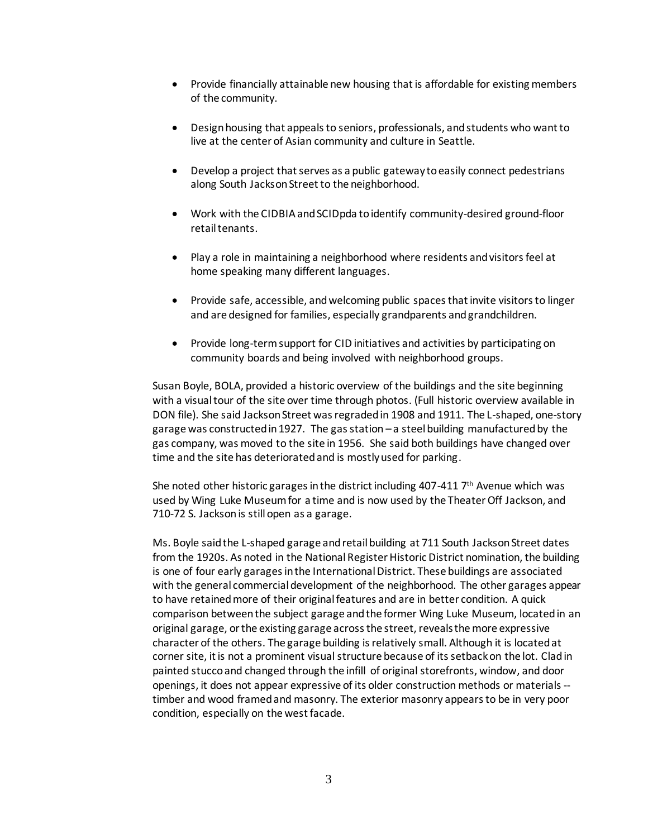- Provide financially attainable new housing that is affordable for existing members of the community.
- Design housing that appeals to seniors, professionals, and students who want to live at the center of Asian community and culture in Seattle.
- Develop a project that serves as a public gateway to easily connect pedestrians along South Jackson Street to the neighborhood.
- Work with the CIDBIA and SCIDpda to identify community-desired ground-floor retail tenants.
- Play a role in maintaining a neighborhood where residents and visitors feel at home speaking many different languages.
- Provide safe, accessible, and welcoming public spaces that invite visitors to linger and are designed for families, especially grandparents and grandchildren.
- Provide long-term support for CID initiatives and activities by participating on community boards and being involved with neighborhood groups.

Susan Boyle, BOLA, provided a historic overview of the buildings and the site beginning with a visual tour of the site over time through photos. (Full historic overview available in DON file). She said Jackson Street was regraded in 1908 and 1911. The L-shaped, one-story garage was constructed in 1927. The gas station – a steel building manufactured by the gas company, was moved to the site in 1956. She said both buildings have changed over time and the site has deteriorated and is mostly used for parking.

She noted other historic garages in the district including 407-411  $7<sup>th</sup>$  Avenue which was used by Wing Luke Museum for a time and is now used by the Theater Off Jackson, and 710-72 S. Jacksonis still open as a garage.

Ms. Boyle said the L-shaped garage and retail building at 711 South Jackson Street dates from the 1920s. As noted in the National Register Historic District nomination, the building is one of four early garages in the International District. These buildings are associated with the general commercial development of the neighborhood. The other garages appear to have retained more of their original features and are in better condition. A quick comparison between the subject garage and the former Wing Luke Museum, located in an original garage, or the existing garage across the street, reveals the more expressive character of the others. The garage building is relatively small. Although it is located at corner site, it is not a prominent visual structure because of its setback on the lot. Clad in painted stucco and changed through the infill of original storefronts, window, and door openings, it does not appear expressive of its older construction methods or materials - timber and wood framed and masonry. The exterior masonry appears to be in very poor condition, especially on the west facade.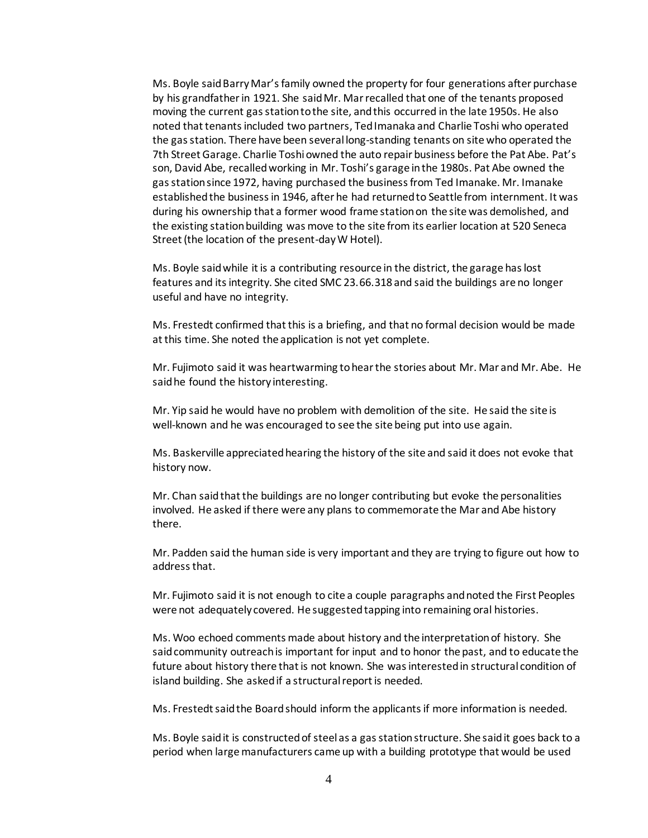Ms. Boyle said Barry Mar's family owned the property for four generations after purchase by his grandfather in 1921. She said Mr. Mar recalled that one of the tenants proposed moving the current gas station to the site, and this occurred in the late 1950s. He also noted that tenants included two partners, Ted Imanaka and Charlie Toshi who operated the gas station. There have been several long-standing tenants on site who operated the 7th Street Garage. Charlie Toshi owned the auto repair business before the Pat Abe. Pat's son, David Abe, recalled working in Mr. Toshi's garage in the 1980s. Pat Abe owned the gas station since 1972, having purchased the business from Ted Imanake. Mr. Imanake established the business in 1946, after he had returned to Seattle from internment. It was during his ownership that a former wood frame station on the site was demolished, and the existing station building was move to the site from its earlier location at 520 Seneca Street (the location of the present-day W Hotel).

Ms. Boyle said while it is a contributing resource in the district, the garage has lost features and its integrity. She cited SMC 23.66.318 and said the buildings are no longer useful and have no integrity.

Ms. Frestedt confirmed that this is a briefing, and that no formal decision would be made at this time. She noted the application is not yet complete.

Mr. Fujimoto said it was heartwarming to hear the stories about Mr. Mar and Mr. Abe. He said he found the history interesting.

Mr. Yip said he would have no problem with demolition of the site. He said the site is well-known and he was encouraged to see the site being put into use again.

Ms. Baskerville appreciated hearing the history of the site and said it does not evoke that history now.

Mr. Chan said that the buildings are no longer contributing but evoke the personalities involved. He asked if there were any plans to commemorate the Mar and Abe history there.

Mr. Padden said the human side is very important and they are trying to figure out how to address that.

Mr. Fujimoto said it is not enough to cite a couple paragraphs and noted the First Peoples were not adequately covered. He suggested tapping into remaining oral histories.

Ms. Woo echoed comments made about history and the interpretation of history. She said community outreach is important for input and to honor the past, and to educate the future about history there that is not known. She was interested in structural condition of island building. She asked if a structural report is needed.

Ms. Frestedt said the Board should inform the applicants if more information is needed.

Ms. Boyle said it is constructed of steel as a gas station structure. She said it goes back to a period when large manufacturers came up with a building prototype that would be used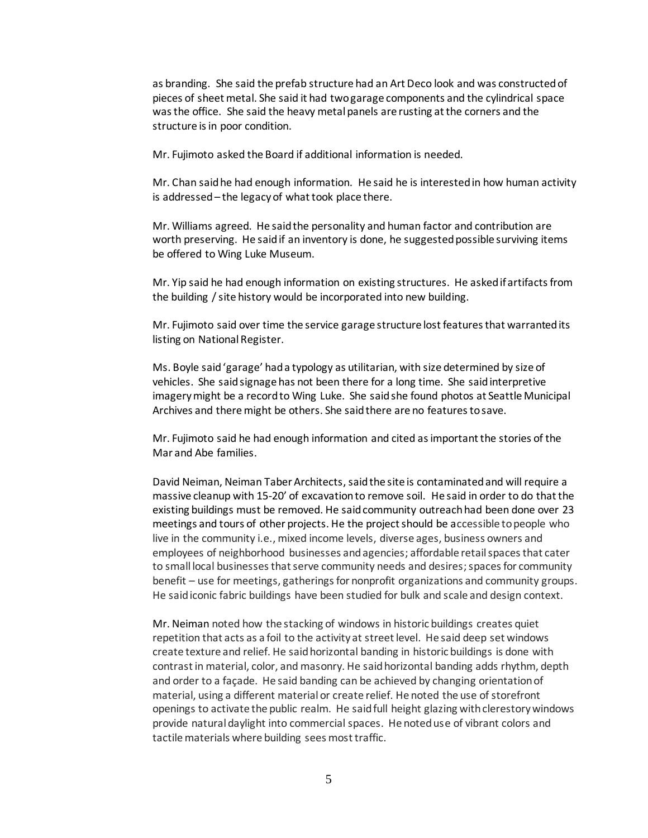as branding. She said the prefab structure had an Art Deco look and was constructed of pieces of sheet metal. She said it had two garage components and the cylindrical space was the office. She said the heavy metal panels are rusting at the corners and the structure is in poor condition.

Mr. Fujimoto asked the Board if additional information is needed.

Mr. Chan said he had enough information. He said he is interested in how human activity is addressed – the legacy of what took place there.

Mr. Williams agreed. He said the personality and human factor and contribution are worth preserving. He said if an inventory is done, he suggested possible surviving items be offered to Wing Luke Museum.

Mr. Yip said he had enough information on existing structures. He asked if artifacts from the building / site history would be incorporated into new building.

Mr. Fujimoto said over time the service garage structure lost features that warranted its listing on National Register.

Ms. Boyle said 'garage' had a typology as utilitarian, with size determined by size of vehicles. She said signage has not been there for a long time. She said interpretive imagery might be a record to Wing Luke. She said she found photos at Seattle Municipal Archives and there might be others. She said there are no features to save.

Mr. Fujimoto said he had enough information and cited as important the stories of the Mar and Abe families.

David Neiman, Neiman Taber Architects, said the site is contaminated and will require a massive cleanup with 15-20' of excavation to remove soil. He said in order to do that the existing buildings must be removed. He said community outreach had been done over 23 meetings and tours of other projects. He the project should be accessible to people who live in the community i.e., mixed income levels, diverse ages, business owners and employees of neighborhood businesses and agencies; affordable retail spaces that cater to small local businesses that serve community needs and desires; spaces for community benefit – use for meetings, gatherings for nonprofit organizations and community groups. He said iconic fabric buildings have been studied for bulk and scale and design context.

Mr. Neiman noted how the stacking of windows in historic buildings creates quiet repetition that acts as a foil to the activity at street level. He said deep set windows create texture and relief. He said horizontal banding in historic buildings is done with contrast in material, color, and masonry. He said horizontal banding adds rhythm, depth and order to a façade. He said banding can be achieved by changing orientation of material, using a different material or create relief. He noted the use of storefront openings to activate the public realm. He said full height glazing with clerestory windows provide natural daylight into commercial spaces. He noted use of vibrant colors and tactile materials where building sees most traffic.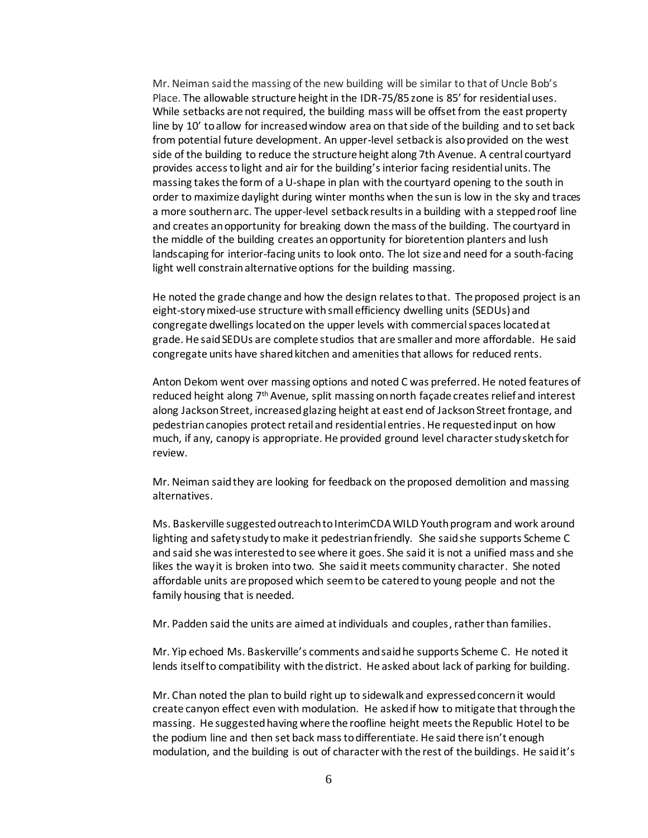Mr. Neiman said the massing of the new building will be similar to that of Uncle Bob's Place. The allowable structure height in the IDR-75/85 zone is 85' for residential uses. While setbacks are not required, the building mass will be offset from the east property line by 10' to allow for increased window area on that side of the building and to set back from potential future development. An upper-level setback is also provided on the west side of the building to reduce the structure height along 7th Avenue. A central courtyard provides access to light and air for the building's interior facing residential units. The massing takes the form of a U-shape in plan with the courtyard opening to the south in order to maximize daylight during winter months when the sun is low in the sky and traces a more southern arc. The upper-level setback results in a building with a stepped roof line and creates an opportunity for breaking down the mass of the building. The courtyard in the middle of the building creates an opportunity for bioretention planters and lush landscaping for interior-facing units to look onto. The lot size and need for a south-facing light well constrain alternative options for the building massing.

He noted the grade change and how the design relates to that. The proposed project is an eight-storymixed-use structure with small efficiency dwelling units (SEDUs) and congregate dwellings located on the upper levels with commercial spaces located at grade. He said SEDUs are complete studios that are smaller and more affordable. He said congregate units have shared kitchen and amenities that allows for reduced rents.

Anton Dekom went over massing options and noted C was preferred. He noted features of reduced height along 7th Avenue, split massing on north façade creates relief and interest along Jackson Street, increased glazing height at east end of Jackson Street frontage, and pedestrian canopies protect retail and residential entries. He requested input on how much, if any, canopy is appropriate. He provided ground level character study sketch for review.

Mr. Neiman said they are looking for feedback on the proposed demolition and massing alternatives.

Ms. Baskerville suggested outreach to InterimCDA WILD Youth program and work around lighting and safety study to make it pedestrian friendly. She said she supports Scheme C and said she was interested to see where it goes. She said it is not a unified mass and she likes the way it is broken into two. She said it meets community character. She noted affordable units are proposed which seem to be catered to young people and not the family housing that is needed.

Mr. Padden said the units are aimed at individuals and couples, rather than families.

Mr. Yip echoed Ms. Baskerville's comments and said he supports Scheme C. He noted it lends itself to compatibility with the district. He asked about lack of parking for building.

Mr. Chan noted the plan to build right up to sidewalk and expressed concern it would create canyon effect even with modulation. He asked if how to mitigate that through the massing. He suggested having where the roofline height meets the Republic Hotel to be the podium line and then set back mass to differentiate. He said there isn't enough modulation, and the building is out of character with the rest of the buildings. He said it's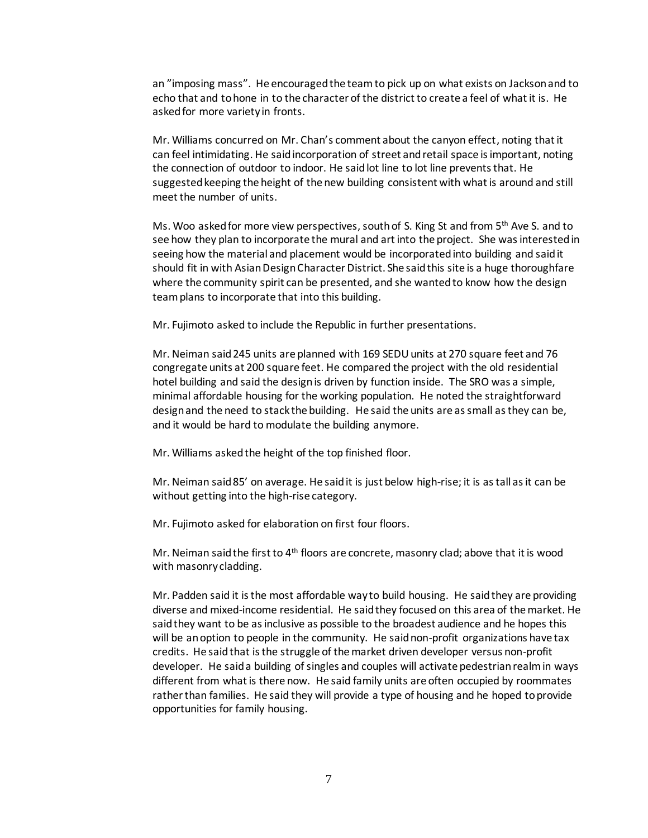an "imposing mass". He encouraged the teamto pick up on what exists on Jackson and to echo that and tohone in to the character of the district to create a feel of what it is. He asked for more variety in fronts.

Mr. Williams concurred on Mr. Chan's comment about the canyon effect, noting that it can feel intimidating. He said incorporation of street and retail space is important, noting the connection of outdoor to indoor. He said lot line to lot line prevents that. He suggested keeping the height of the new building consistent with what is around and still meet the number of units.

Ms. Woo asked for more view perspectives, south of S. King St and from 5<sup>th</sup> Ave S. and to see how they plan to incorporate the mural and art into the project. She was interested in seeing how the material and placement would be incorporated into building and said it should fit in with Asian Design Character District. She said this site is a huge thoroughfare where the community spirit can be presented, and she wanted to know how the design team plans to incorporate that into this building.

Mr. Fujimoto asked to include the Republic in further presentations.

Mr. Neiman said 245 units are planned with 169 SEDU units at 270 square feet and 76 congregate units at 200 square feet. He compared the project with the old residential hotel building and said the design is driven by function inside. The SRO was a simple, minimal affordable housing for the working population. He noted the straightforward design and the need to stack the building. He said the units are as small as they can be, and it would be hard to modulate the building anymore.

Mr. Williams asked the height of the top finished floor.

Mr. Neiman said 85' on average. He said it is just below high-rise; it is as tall as it can be without getting into the high-rise category.

Mr. Fujimoto asked for elaboration on first four floors.

Mr. Neiman said the first to  $4<sup>th</sup>$  floors are concrete, masonry clad; above that it is wood with masonry cladding.

Mr. Padden said it is the most affordable way to build housing. He said they are providing diverse and mixed-income residential. He said they focused on this area of the market. He said they want to be as inclusive as possible to the broadest audience and he hopes this will be an option to people in the community. He said non-profit organizations have tax credits. He said that is the struggle of the market driven developer versus non-profit developer. He said a building of singles and couples will activate pedestrian realm in ways different from what is there now. He said family units are often occupied by roommates rather than families. He said they will provide a type of housing and he hoped to provide opportunities for family housing.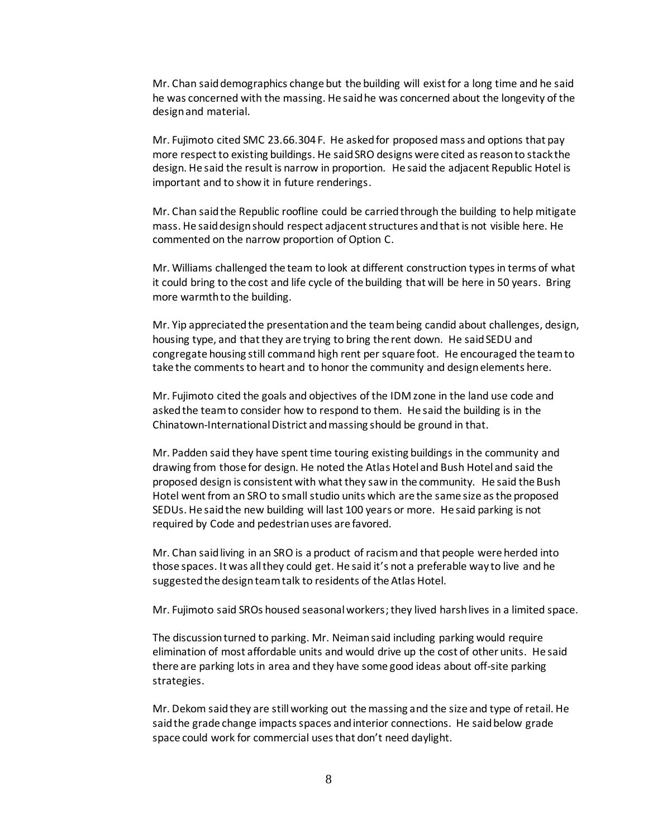Mr. Chan said demographics change but the building will exist for a long time and he said he was concerned with the massing. He said he was concerned about the longevity of the design and material.

Mr. Fujimoto cited SMC 23.66.304 F. He asked for proposed mass and options that pay more respect to existing buildings. He said SRO designs were cited as reason to stack the design. He said the result is narrow in proportion. He said the adjacent Republic Hotel is important and to show it in future renderings.

Mr. Chan said the Republic roofline could be carried through the building to help mitigate mass. He said design should respect adjacent structures and that is not visible here. He commented on the narrow proportion of Option C.

Mr. Williams challenged the team to look at different construction types in terms of what it could bring to the cost and life cycle of the building that will be here in 50 years. Bring more warmth to the building.

Mr. Yip appreciated the presentation and the team being candid about challenges, design, housing type, and that they are trying to bring the rent down. He said SEDU and congregate housing still command high rent per square foot. He encouraged the team to take the comments to heart and to honor the community and design elements here.

Mr. Fujimoto cited the goals and objectives of the IDM zone in the land use code and asked the team to consider how to respond to them. He said the building is in the Chinatown-International District and massing should be ground in that.

Mr. Padden said they have spent time touring existing buildings in the community and drawing from those for design. He noted the Atlas Hotel and Bush Hotel and said the proposed design is consistent with what they saw in the community. He said the Bush Hotel went from an SRO to small studio units which are the same size as the proposed SEDUs. He said the new building will last 100 years or more. He said parking is not required by Code and pedestrian uses are favored.

Mr. Chan said living in an SRO is a product of racism and that people were herded into those spaces. It was all they could get. He said it's not a preferable way to live and he suggested the design team talk to residents of the Atlas Hotel.

Mr. Fujimoto said SROs housed seasonal workers;they lived harsh lives in a limited space.

The discussion turned to parking. Mr. Neiman said including parking would require elimination of most affordable units and would drive up the cost of other units. He said there are parking lots in area and they have some good ideas about off-site parking strategies.

Mr. Dekom said they are still working out the massing and the size and type of retail. He said the grade change impacts spaces and interior connections. He said below grade space could work for commercial uses that don't need daylight.